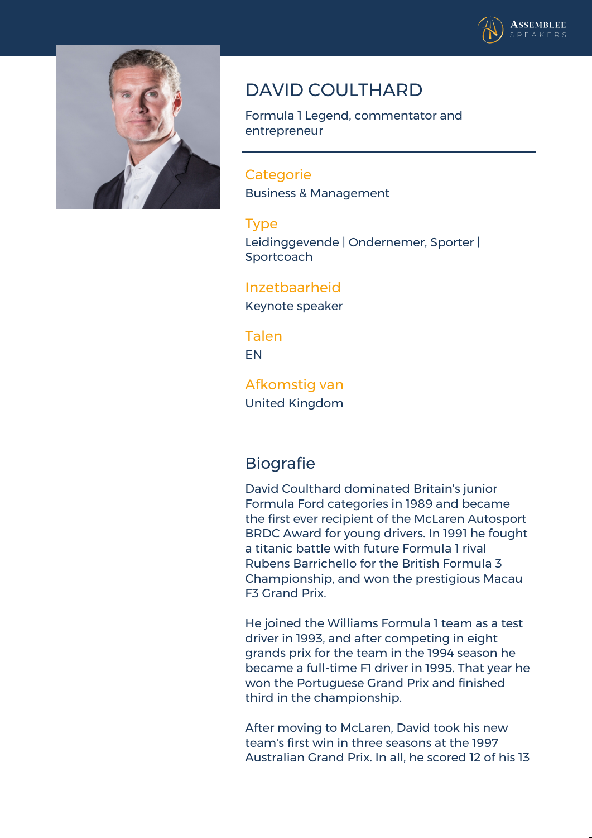



## **DAVID COULTHARD**

Formula 1 Legend, commentator and entrepreneur

**Categorie** Business & Management

## **Type**

Leidinggevende | Ondernemer, Sporter | **Sportcoach** 

## **Inzetbaarheid**

Keynote speaker

**Talen** EN

**Afkomstig van** United Kingdom

## **Biografie**

David Coulthard dominated Britain's junior Formula Ford categories in 1989 and became the first ever recipient of the McLaren Autosport BRDC Award for young drivers. In 1991 he fought a titanic battle with future Formula 1 rival Rubens Barrichello for the British Formula 3 Championship, and won the prestigious Macau F3 Grand Prix.

He joined the Williams Formula 1 team as a test driver in 1993, and after competing in eight grands prix for the team in the 1994 season he became a full-time F1 driver in 1995. That year he won the Portuguese Grand Prix and finished third in the championship.

After moving to McLaren, David took his new team's first win in three seasons at the 1997 Australian Grand Prix. In all, he scored 12 of his 13